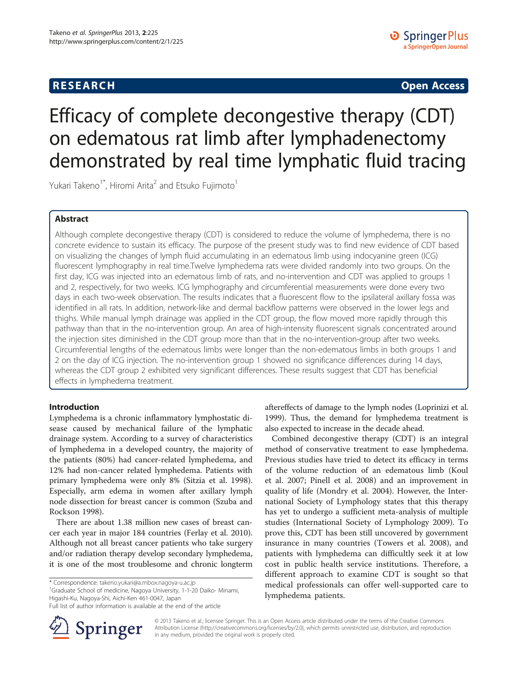# **RESEARCH CHINESE ARCH CHINESE ARCH CHINESE ARCH <b>CHINESE ARCH**

# Efficacy of complete decongestive therapy (CDT) on edematous rat limb after lymphadenectomy demonstrated by real time lymphatic fluid tracing

Yukari Takeno<sup>1\*</sup>, Hiromi Arita<sup>2</sup> and Etsuko Fujimoto<sup>1</sup>

# Abstract

Although complete decongestive therapy (CDT) is considered to reduce the volume of lymphedema, there is no concrete evidence to sustain its efficacy. The purpose of the present study was to find new evidence of CDT based on visualizing the changes of lymph fluid accumulating in an edematous limb using indocyanine green (ICG) fluorescent lymphography in real time.Twelve lymphedema rats were divided randomly into two groups. On the first day, ICG was injected into an edematous limb of rats, and no-intervention and CDT was applied to groups 1 and 2, respectively, for two weeks. ICG lymphography and circumferential measurements were done every two days in each two-week observation. The results indicates that a fluorescent flow to the ipsilateral axillary fossa was identified in all rats. In addition, network-like and dermal backflow patterns were observed in the lower legs and thighs. While manual lymph drainage was applied in the CDT group, the flow moved more rapidly through this pathway than that in the no-intervention group. An area of high-intensity fluorescent signals concentrated around the injection sites diminished in the CDT group more than that in the no-intervention-group after two weeks. Circumferential lengths of the edematous limbs were longer than the non-edematous limbs in both groups 1 and 2 on the day of ICG injection. The no-intervention group 1 showed no significance differences during 14 days, whereas the CDT group 2 exhibited very significant differences. These results suggest that CDT has beneficial effects in lymphedema treatment.

# Introduction

Lymphedema is a chronic inflammatory lymphostatic disease caused by mechanical failure of the lymphatic drainage system. According to a survey of characteristics of lymphedema in a developed country, the majority of the patients (80%) had cancer-related lymphedema, and 12% had non-cancer related lymphedema. Patients with primary lymphedema were only 8% (Sitzia et al. [1998](#page-5-0)). Especially, arm edema in women after axillary lymph node dissection for breast cancer is common (Szuba and Rockson [1998](#page-5-0)).

There are about 1.38 million new cases of breast cancer each year in major 184 countries (Ferlay et al. [2010](#page-5-0)). Although not all breast cancer patients who take surgery and/or radiation therapy develop secondary lymphedema, it is one of the most troublesome and chronic longterm

\* Correspondence: [takeno.yukari@a.mbox.nagoya-u.ac.jp](mailto:takeno.yukari@a.mbox.nagoya-u.ac.jp) <sup>1</sup>

<sup>1</sup>Graduate School of medicine, Nagoya University, 1-1-20 Daiko- Minami, Higashi-Ku, Nagoya-Shi, Aichi-Ken 461-0047, Japan



Combined decongestive therapy (CDT) is an integral method of conservative treatment to ease lymphedema. Previous studies have tried to detect its efficacy in terms of the volume reduction of an edematous limb (Koul et al. [2007](#page-5-0); Pinell et al. [2008\)](#page-5-0) and an improvement in quality of life (Mondry et al. [2004\)](#page-5-0). However, the International Society of Lymphology states that this therapy has yet to undergo a sufficient meta-analysis of multiple studies (International Society of Lymphology [2009](#page-5-0)). To prove this, CDT has been still uncovered by government insurance in many countries (Towers et al. [2008\)](#page-5-0), and patients with lymphedema can difficultly seek it at low cost in public health service institutions. Therefore, a different approach to examine CDT is sought so that medical professionals can offer well-supported care to lymphedema patients.



© 2013 Takeno et al.; licensee Springer. This is an Open Access article distributed under the terms of the Creative Commons Attribution License [\(http://creativecommons.org/licenses/by/2.0\)](http://creativecommons.org/licenses/by/2.0), which permits unrestricted use, distribution, and reproduction in any medium, provided the original work is properly cited.

Full list of author information is available at the end of the article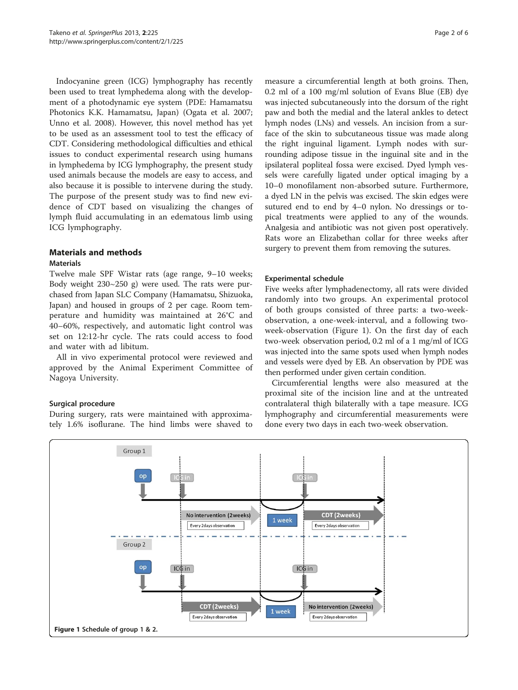Indocyanine green (ICG) lymphography has recently been used to treat lymphedema along with the development of a photodynamic eye system (PDE: Hamamatsu Photonics K.K. Hamamatsu, Japan) (Ogata et al. [2007](#page-5-0); Unno et al. [2008\)](#page-5-0). However, this novel method has yet to be used as an assessment tool to test the efficacy of CDT. Considering methodological difficulties and ethical issues to conduct experimental research using humans in lymphedema by ICG lymphography, the present study used animals because the models are easy to access, and also because it is possible to intervene during the study. The purpose of the present study was to find new evidence of CDT based on visualizing the changes of lymph fluid accumulating in an edematous limb using ICG lymphography.

# Materials and methods

# **Materials**

Twelve male SPF Wistar rats (age range, 9–10 weeks; Body weight 230~250 g) were used. The rats were purchased from Japan SLC Company (Hamamatsu, Shizuoka, Japan) and housed in groups of 2 per cage. Room temperature and humidity was maintained at 26°C and 40–60%, respectively, and automatic light control was set on 12:12-hr cycle. The rats could access to food and water with ad libitum.

All in vivo experimental protocol were reviewed and approved by the Animal Experiment Committee of Nagoya University.

# Surgical procedure

During surgery, rats were maintained with approximately 1.6% isoflurane. The hind limbs were shaved to

measure a circumferential length at both groins. Then, 0.2 ml of a 100 mg/ml solution of Evans Blue (EB) dye was injected subcutaneously into the dorsum of the right paw and both the medial and the lateral ankles to detect lymph nodes (LNs) and vessels. An incision from a surface of the skin to subcutaneous tissue was made along the right inguinal ligament. Lymph nodes with surrounding adipose tissue in the inguinal site and in the ipsilateral popliteal fossa were excised. Dyed lymph vessels were carefully ligated under optical imaging by a 10–0 monofilament non-absorbed suture. Furthermore, a dyed LN in the pelvis was excised. The skin edges were sutured end to end by 4–0 nylon. No dressings or topical treatments were applied to any of the wounds. Analgesia and antibiotic was not given post operatively. Rats wore an Elizabethan collar for three weeks after surgery to prevent them from removing the sutures.

# Experimental schedule

Five weeks after lymphadenectomy, all rats were divided randomly into two groups. An experimental protocol of both groups consisted of three parts: a two-weekobservation, a one-week-interval, and a following twoweek-observation (Figure 1). On the first day of each two-week observation period, 0.2 ml of a 1 mg/ml of ICG was injected into the same spots used when lymph nodes and vessels were dyed by EB. An observation by PDE was then performed under given certain condition.

Circumferential lengths were also measured at the proximal site of the incision line and at the untreated contralateral thigh bilaterally with a tape measure. ICG lymphography and circumferential measurements were done every two days in each two-week observation.

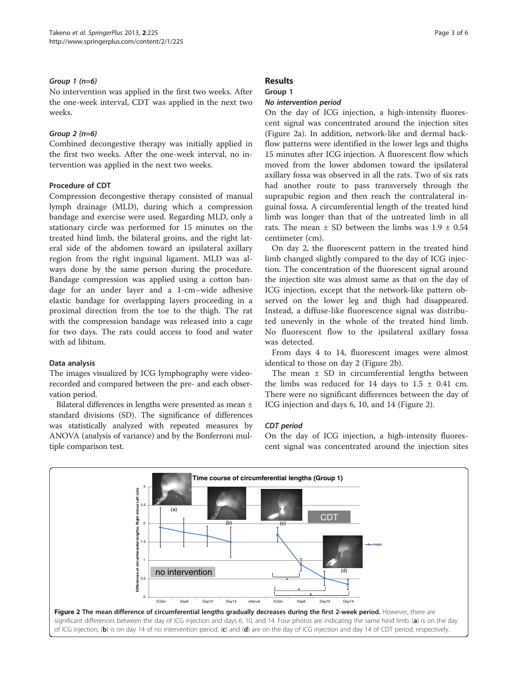# <span id="page-2-0"></span>Group 1 (n=6)

No intervention was applied in the first two weeks. After the one-week interval, CDT was applied in the next two weeks.

## Group 2 (n=6)

Combined decongestive therapy was initially applied in the first two weeks. After the one-week interval, no intervention was applied in the next two weeks.

# Procedure of CDT

Compression decongestive therapy consisted of manual lymph drainage (MLD), during which a compression bandage and exercise were used. Regarding MLD, only a stationary circle was performed for 15 minutes on the treated hind limb, the bilateral groins, and the right lateral side of the abdomen toward an ipsilateral axillary region from the right inguinal ligament. MLD was always done by the same person during the procedure. Bandage compression was applied using a cotton bandage for an under layer and a 1-cm–wide adhesive elastic bandage for overlapping layers proceeding in a proximal direction from the toe to the thigh. The rat with the compression bandage was released into a cage for two days. The rats could access to food and water with ad libitum.

#### Data analysis

The images visualized by ICG lymphography were videorecorded and compared between the pre- and each observation period.

Bilateral differences in lengths were presented as mean ± standard divisions (SD). The significance of differences was statistically analyzed with repeated measures by ANOVA (analysis of variance) and by the Bonferroni multiple comparison test.

# Results

# Group 1

# No intervention period

On the day of ICG injection, a high-intensity fluorescent signal was concentrated around the injection sites (Figure 2a). In addition, network-like and dermal backflow patterns were identified in the lower legs and thighs 15 minutes after ICG injection. A fluorescent flow which moved from the lower abdomen toward the ipsilateral axillary fossa was observed in all the rats. Two of six rats had another route to pass transversely through the suprapubic region and then reach the contralateral inguinal fossa. A circumferential length of the treated hind limb was longer than that of the untreated limb in all rats. The mean  $\pm$  SD between the limbs was 1.9  $\pm$  0.54 centimeter (cm).

On day 2, the fluorescent pattern in the treated hind limb changed slightly compared to the day of ICG injection. The concentration of the fluorescent signal around the injection site was almost same as that on the day of ICG injection, except that the network-like pattern observed on the lower leg and thigh had disappeared. Instead, a diffuse-like fluorescence signal was distributed unevenly in the whole of the treated hind limb. No fluorescent flow to the ipsilateral axillary fossa was detected.

From days 4 to 14, fluorescent images were almost identical to those on day 2 (Figure 2b).

The mean ± SD in circumferential lengths between the limbs was reduced for 14 days to  $1.5 \pm 0.41$  cm. There were no significant differences between the day of ICG injection and days 6, 10, and 14 (Figure 2).

# CDT period

On the day of ICG injection, a high-intensity fluorescent signal was concentrated around the injection sites

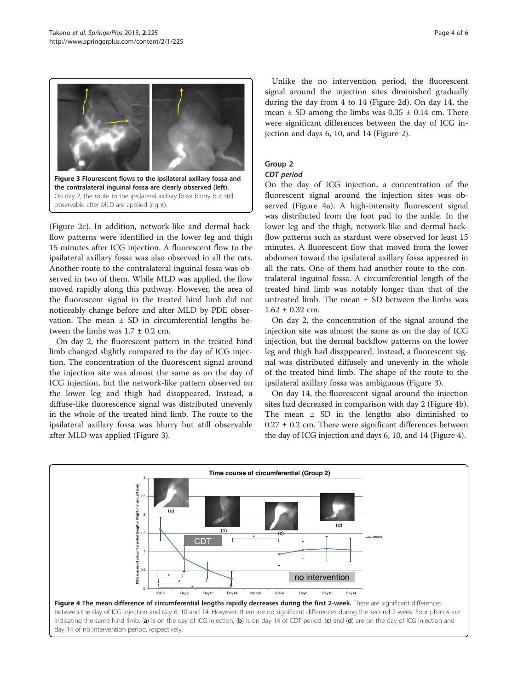<span id="page-3-0"></span>

(Figure [2c](#page-2-0)). In addition, network-like and dermal backflow patterns were identified in the lower leg and thigh 15 minutes after ICG injection. A fluorescent flow to the ipsilateral axillary fossa was also observed in all the rats. Another route to the contralateral inguinal fossa was observed in two of them. While MLD was applied, the flow moved rapidly along this pathway. However, the area of the fluorescent signal in the treated hind limb did not noticeably change before and after MLD by PDE observation. The mean  $\pm$  SD in circumferential lengths between the limbs was  $1.7 \pm 0.2$  cm.

On day 2, the fluorescent pattern in the treated hind limb changed slightly compared to the day of ICG injection. The concentration of the fluorescent signal around the injection site was almost the same as on the day of ICG injection, but the network-like pattern observed on the lower leg and thigh had disappeared. Instead, a diffuse-like fluorescence signal was distributed unevenly in the whole of the treated hind limb. The route to the ipsilateral axillary fossa was blurry but still observable after MLD was applied (Figure 3).

Unlike the no intervention period, the fluorescent signal around the injection sites diminished gradually during the day from 4 to 14 (Figure [2](#page-2-0)d). On day 14, the mean  $\pm$  SD among the limbs was 0.35  $\pm$  0.14 cm. There were significant differences between the day of ICG injection and days 6, 10, and 14 (Figure [2](#page-2-0)).

# Group 2

#### CDT period

On the day of ICG injection, a concentration of the fluorescent signal around the injection sites was observed (Figure 4a). A high-intensity fluorescent signal was distributed from the foot pad to the ankle. In the lower leg and the thigh, network-like and dermal backflow patterns such as stardust were observed for least 15 minutes. A fluorescent flow that moved from the lower abdomen toward the ipsilateral axillary fossa appeared in all the rats. One of them had another route to the contralateral inguinal fossa. A circumferential length of the treated hind limb was notably longer than that of the untreated limb. The mean  $\pm$  SD between the limbs was  $1.62 \pm 0.32$  cm.

On day 2, the concentration of the signal around the injection site was almost the same as on the day of ICG injection, but the dermal backflow patterns on the lower leg and thigh had disappeared. Instead, a fluorescent signal was distributed diffusely and unevenly in the whole of the treated hind limb. The shape of the route to the ipsilateral axillary fossa was ambiguous (Figure 3).

On day 14, the fluorescent signal around the injection sites had decreased in comparison with day 2 (Figure 4b). The mean ± SD in the lengths also diminished to  $0.27 \pm 0.2$  cm. There were significant differences between the day of ICG injection and days 6, 10, and 14 (Figure 4).



day 14 of no intervention period, respectively.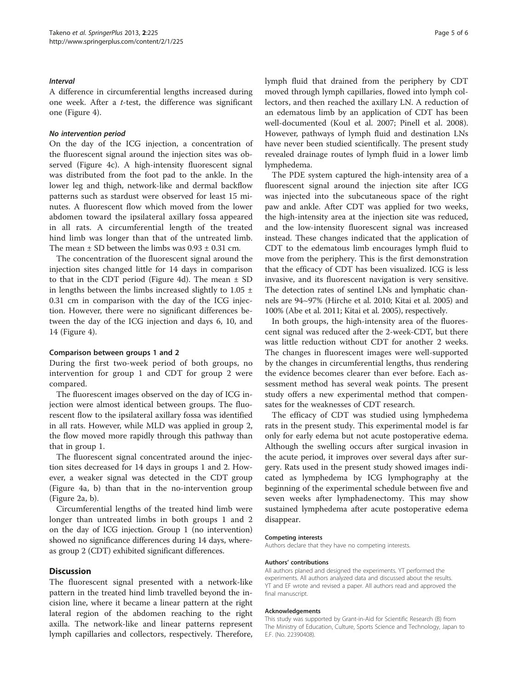#### Interval

A difference in circumferential lengths increased during one week. After a t-test, the difference was significant one (Figure [4](#page-3-0)).

#### No intervention period

On the day of the ICG injection, a concentration of the fluorescent signal around the injection sites was observed (Figure [4c](#page-3-0)). A high-intensity fluorescent signal was distributed from the foot pad to the ankle. In the lower leg and thigh, network-like and dermal backflow patterns such as stardust were observed for least 15 minutes. A fluorescent flow which moved from the lower abdomen toward the ipsilateral axillary fossa appeared in all rats. A circumferential length of the treated hind limb was longer than that of the untreated limb. The mean  $\pm$  SD between the limbs was 0.93  $\pm$  0.31 cm.

The concentration of the fluorescent signal around the injection sites changed little for 14 days in comparison to that in the CDT period (Figure [4d](#page-3-0)). The mean  $\pm$  SD in lengths between the limbs increased slightly to  $1.05 \pm 1.05$ 0.31 cm in comparison with the day of the ICG injection. However, there were no significant differences between the day of the ICG injection and days 6, 10, and 14 (Figure [4](#page-3-0)).

#### Comparison between groups 1 and 2

During the first two-week period of both groups, no intervention for group 1 and CDT for group 2 were compared.

The fluorescent images observed on the day of ICG injection were almost identical between groups. The fluorescent flow to the ipsilateral axillary fossa was identified in all rats. However, while MLD was applied in group 2, the flow moved more rapidly through this pathway than that in group 1.

The fluorescent signal concentrated around the injection sites decreased for 14 days in groups 1 and 2. However, a weaker signal was detected in the CDT group (Figure [4a](#page-3-0), b) than that in the no-intervention group (Figure [2](#page-2-0)a, b).

Circumferential lengths of the treated hind limb were longer than untreated limbs in both groups 1 and 2 on the day of ICG injection. Group 1 (no intervention) showed no significance differences during 14 days, whereas group 2 (CDT) exhibited significant differences.

## **Discussion**

The fluorescent signal presented with a network-like pattern in the treated hind limb travelled beyond the incision line, where it became a linear pattern at the right lateral region of the abdomen reaching to the right axilla. The network-like and linear patterns represent lymph capillaries and collectors, respectively. Therefore, lymph fluid that drained from the periphery by CDT moved through lymph capillaries, flowed into lymph collectors, and then reached the axillary LN. A reduction of an edematous limb by an application of CDT has been well-documented (Koul et al. [2007](#page-5-0); Pinell et al. [2008](#page-5-0)). However, pathways of lymph fluid and destination LNs have never been studied scientifically. The present study revealed drainage routes of lymph fluid in a lower limb lymphedema.

The PDE system captured the high-intensity area of a fluorescent signal around the injection site after ICG was injected into the subcutaneous space of the right paw and ankle. After CDT was applied for two weeks, the high-intensity area at the injection site was reduced, and the low-intensity fluorescent signal was increased instead. These changes indicated that the application of CDT to the edematous limb encourages lymph fluid to move from the periphery. This is the first demonstration that the efficacy of CDT has been visualized. ICG is less invasive, and its fluorescent navigation is very sensitive. The detection rates of sentinel LNs and lymphatic channels are 94~97% (Hirche et al. [2010](#page-5-0); Kitai et al. [2005\)](#page-5-0) and 100% (Abe et al. [2011](#page-5-0); Kitai et al. [2005](#page-5-0)), respectively.

In both groups, the high-intensity area of the fluorescent signal was reduced after the 2-week-CDT, but there was little reduction without CDT for another 2 weeks. The changes in fluorescent images were well-supported by the changes in circumferential lengths, thus rendering the evidence becomes clearer than ever before. Each assessment method has several weak points. The present study offers a new experimental method that compensates for the weaknesses of CDT research.

The efficacy of CDT was studied using lymphedema rats in the present study. This experimental model is far only for early edema but not acute postoperative edema. Although the swelling occurs after surgical invasion in the acute period, it improves over several days after surgery. Rats used in the present study showed images indicated as lymphedema by ICG lymphography at the beginning of the experimental schedule between five and seven weeks after lymphadenectomy. This may show sustained lymphedema after acute postoperative edema disappear.

#### Competing interests

Authors declare that they have no competing interests.

#### Authors' contributions

All authors planed and designed the experiments. YT performed the experiments. All authors analyzed data and discussed about the results. YT and EF wrote and revised a paper. All authors read and approved the final manuscript.

#### Acknowledgements

This study was supported by Grant-in-Aid for Scientific Research (B) from The Ministry of Education, Culture, Sports Science and Technology, Japan to E.F. (No. 22390408).